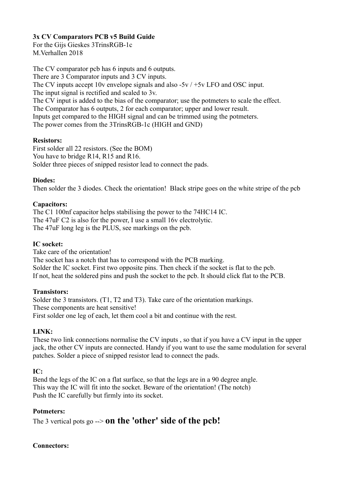### **3x CV Comparators PCB v5 Build Guide**

For the Gijs Gieskes 3TrinsRGB-1c M.Verhallen 2018

The CV comparator pcb has 6 inputs and 6 outputs. There are 3 Comparator inputs and 3 CV inputs. The CV inputs accept 10v envelope signals and also -5v / +5v LFO and OSC input. The input signal is rectified and scaled to 3v. The CV input is added to the bias of the comparator; use the potmeters to scale the effect. The Comparator has 6 outputs, 2 for each comparator; upper and lower result. Inputs get compared to the HIGH signal and can be trimmed using the potmeters. The power comes from the 3TrinsRGB-1c (HIGH and GND)

#### **Resistors:**

First solder all 22 resistors. (See the BOM) You have to bridge R14, R15 and R16. Solder three pieces of snipped resistor lead to connect the pads.

#### **Diodes:**

Then solder the 3 diodes. Check the orientation! Black stripe goes on the white stripe of the pcb

#### **Capacitors:**

The C1 100nf capacitor helps stabilising the power to the 74HC14 IC. The 47uF C2 is also for the power, I use a small 16v electrolytic. The 47uF long leg is the PLUS, see markings on the pcb.

#### **IC socket:**

Take care of the orientation! The socket has a notch that has to correspond with the PCB marking. Solder the IC socket. First two opposite pins. Then check if the socket is flat to the pcb. If not, heat the soldered pins and push the socket to the pcb. It should click flat to the PCB.

#### **Transistors:**

Solder the 3 transistors. (T1, T2 and T3). Take care of the orientation markings. These components are heat sensitive! First solder one leg of each, let them cool a bit and continue with the rest.

#### **LINK:**

These two link connections normalise the CV inputs , so that if you have a CV input in the upper jack, the other CV inputs are connected. Handy if you want to use the same modulation for several patches. Solder a piece of snipped resistor lead to connect the pads.

#### **IC:**

Bend the legs of the IC on a flat surface, so that the legs are in a 90 degree angle. This way the IC will fit into the socket. Beware of the orientation! (The notch) Push the IC carefully but firmly into its socket.

#### **Potmeters:**

The 3 vertical pots go --> **on the 'other' side of the pcb!** 

#### **Connectors:**